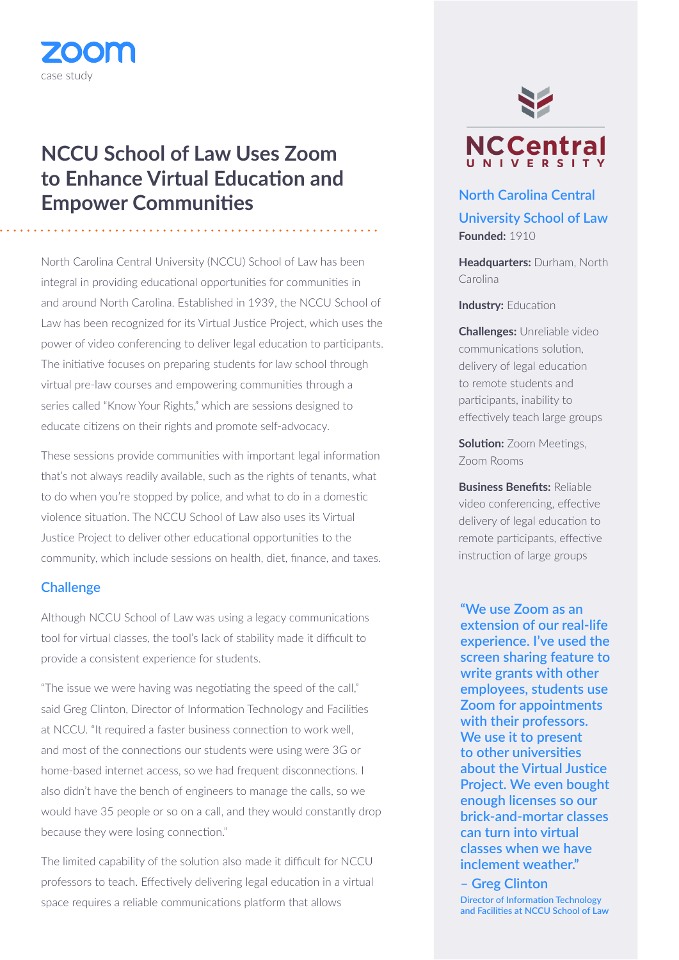## **NCCU School of Law Uses Zoom to Enhance Virtual Education and Empower Communities North Carolina Central**

North Carolina Central University (NCCU) School of Law has been integral in providing educational opportunities for communities in and around North Carolina. Established in 1939, the NCCU School of Law has been recognized for its Virtual Justice Project, which uses the power of video conferencing to deliver legal education to participants. The initiative focuses on preparing students for law school through virtual pre-law courses and empowering communities through a series called "Know Your Rights," which are sessions designed to educate citizens on their rights and promote self-advocacy.

These sessions provide communities with important legal information that's not always readily available, such as the rights of tenants, what to do when you're stopped by police, and what to do in a domestic violence situation. The NCCU School of Law also uses its Virtual Justice Project to deliver other educational opportunities to the community, which include sessions on health, diet, finance, and taxes.

## **Challenge**

case study

ZOODA

Although NCCU School of Law was using a legacy communications tool for virtual classes, the tool's lack of stability made it difficult to provide a consistent experience for students.

"The issue we were having was negotiating the speed of the call," said Greg Clinton, Director of Information Technology and Facilities at NCCU. "It required a faster business connection to work well, and most of the connections our students were using were 3G or home-based internet access, so we had frequent disconnections. I also didn't have the bench of engineers to manage the calls, so we would have 35 people or so on a call, and they would constantly drop because they were losing connection."

The limited capability of the solution also made it difficult for NCCU professors to teach. Effectively delivering legal education in a virtual space requires a reliable communications platform that allows



**University School of Law Founded:** 1910

**Headquarters:** Durham, North Carolina

**Industry:** Education

**Challenges:** Unreliable video communications solution, delivery of legal education to remote students and participants, inability to effectively teach large groups

**Solution:** Zoom Meetings, Zoom Rooms

**Business Benefits:** Reliable video conferencing, effective delivery of legal education to remote participants, effective instruction of large groups

**"We use Zoom as an extension of our real-life experience. I've used the screen sharing feature to write grants with other employees, students use Zoom for appointments with their professors. We use it to present to other universities about the Virtual Justice Project. We even bought enough licenses so our brick-and-mortar classes can turn into virtual classes when we have inclement weather."**

**– Greg Clinton Director of Information Technology and Facilities at NCCU School of Law**